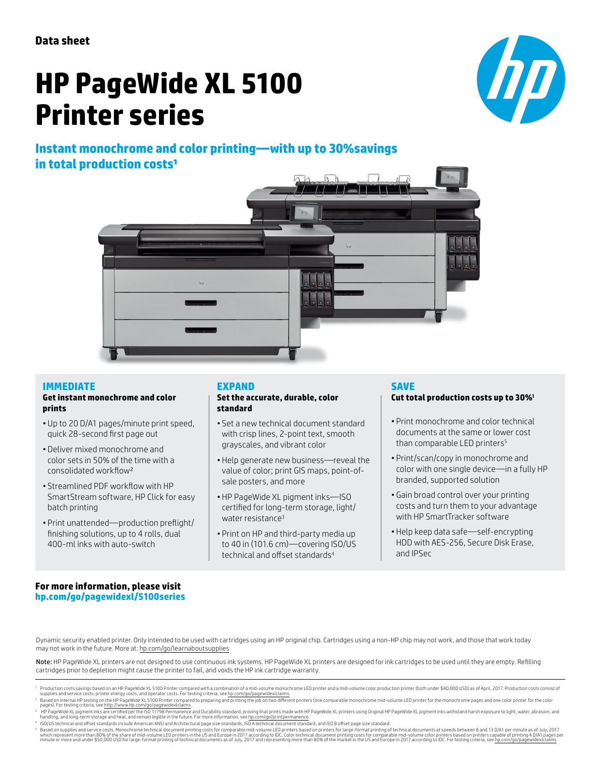# **HP PageWide XL 5100 Printer series**

 $\boldsymbol{D}$ 



#### **IMMEDIATE Get instant monochrome and color prints**

- Up to 20 D/A1 pages/minute print speed, quick 28-second first page out
- Deliver mixed monochrome and color sets in 50% of the time with a consolidated workflow²
- Streamlined PDF workflow with HP SmartStream software, HP Click for easy batch printing
- Print unattended—production preflight/ finishing solutions, up to 4 rolls, dual 400-ml inks with auto-switch

#### **EXPAND**

#### **Set the accurate, durable, color standard**

- Set a new technical document standard with crisp lines, 2-point text, smooth grayscales, and vibrant color
- Help generate new business—reveal the value of color; print GIS maps, point-ofsale posters, and more
- HP PageWide XL pigment inks—ISO certified for long-term storage, light/ water resistance<sup>3</sup>
- Print on HP and third-party media up to 40 in (101.6 cm)—covering ISO/US technical and offset standards4

# **SAVE**

## **Cut total production costs up to 30%1**

- Print monochrome and color technical documents at the same or lower cost than comparable LED printers<sup>5</sup>
- Print/scan/copy in monochrome and color with one single device—in a fully HP branded, supported solution
- Gain broad control over your printing costs and turn them to your advantage with HP SmartTracker software
- Help keep data safe—self-encrypting HDD with AES-256, Secure Disk Erase, and IPSec

## **For more information, please visit [hp.com/go/pagewidexl/](http://www.hp.com/go/pagewidexl/5000series)5100series**

Dynamic security enabled printer. Only intended to be used with cartridges using an HP original chip. Cartridges using a non-HP chip may not work, and those that work today may not work in the future. More at: [hp.com/go/learnaboutsupplies](http://hp.com/go/learnaboutsupplies)

Note: HP PageWide XL printers are not designed to use continuous ink systems. HP PageWide XL printers are designed for ink cartridges to be used until they are empty. Refilling cartridges prior to depletion might cause the printer to fail, and voids the HP ink cartridge warranty.

Production costs savings based on an HP PageWide XL 5100 Printer compared with a combination of a mid-volume monochrome LED printer and a mid-volume color production printer (both under \$40,000 USD) as of April, 2017. Prod

pages). For testing criteria, see <u>http://www.hp.com/go/pagewidexlclaims</u>.<br>• HP PageWide XL pigment inks are certified per the ISO 11798 Permanence and Durability standard, proving that prints made with HP PageWide XL prin

<sup>4</sup> ISO/US technical and offset standards include American ANSI and Architectural page size standards, ISO A technical document standard, and ISO B offset page size standard.

Based on supplies and service costs. Monochrome technical document printing costs for comparable mid-volume LED printers based on printers for large-format printing of technical documents at speeds between 8 and 13 D/A1 pe